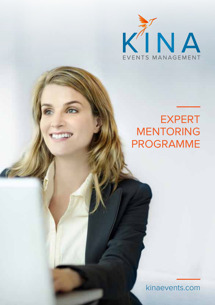

# **EXPERT MENTORING** programme

kinaevents.com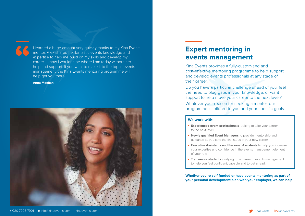

I learned a huge amount very quickly thanks to my Kina Events mentor. Alex shared her fantastic events knowledge and expertise to help me build on my skills and develop my career. I know I wouldn't be where I am today without her help and support. If you want to make it to the top in events management, the Kina Events mentoring programme will help get you there.

#### **Anna Meehan**



## **Expert mentoring in events management**

Kina Events provides a fully-customised and cost-effective mentoring programme to help support and develop events professionals at any stage of their career.

Do you have a particular challenge ahead of you, feel the need to plug gaps in your knowledge, or want support to help move your career to the next level? Whatever your reason for seeking a mentor, our programme is tailored to you and your specific goals.

#### **We work with:**

- **Experienced event professionals** looking to take your career to the next level
- **• Newly qualified Event Managers** to provide mentorship and guidance as you take the first steps in your new career
- **Executive Assistants and Personal Assistants** to help you increase your expertise and confidence in the events management element of your role
- **Trainees or students** studying for a career in events management to help you feel confident, capable and to get ahead.

**Whether you're self-funded or have events mentoring as part of your personal development plan with your employer, we can help.**

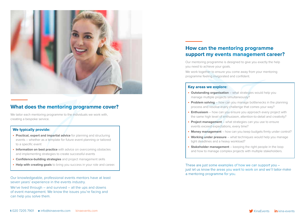

### **What does the mentoring programme cover?**

We tailor each mentoring programme to the individuals we work with, creating a bespoke service.

#### **We typically provide:**

- **Practical, expert and impartial advice** for planning and structuring events – whether as a template for future event planning or tailored to a specific event
- **Information on best practice** with advice on overcoming obstacles and implementing strategies to create successful events
- **• Confidence-building strategies** and project management skills
- **Help with creating goals** to bring you success in your role and career.

Our knowledgeable, professional events mentors have at least seven years' experience in the events industry.

We've lived through – and survived – all the ups and downs of event management. We know the issues you're facing and can help you solve them.

### **How can the mentoring programme support my events management career?**

Our mentoring programme is designed to give you exactly the help you need to achieve your goals.

We work together to ensure you come away from your mentoring programme feeling invigorated and confident.

#### **Key areas we explore:**

- **Outstanding organisation** what strategies would help you manage multiple projects simultaneously?
- **Problem solving** how can you manage bottlenecks in the planning process and resolve every challenge that comes your way?
- **Enthusiasm** how can you ensure you approach every project with the same high level of enthusiasm, attention-to-detail and creativity?
- **Project management** what strategies can you use to ensure events exceed expectations, every time?
- **Money management** how can you keep budgets firmly under control?
- **Working under pressure** what techniques would help you manage tight deadlines and a heavy workload?
- **Stakeholder management** keeping the right people in the loop and how to manage complex projects with multiple stakeholders.

These are just some examples of how we can support you – just let us know the areas you want to work on and we'll tailor-make a mentoring programme for you.

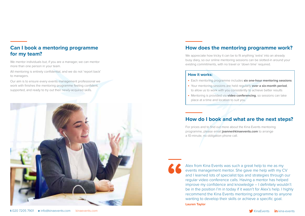### **Can I book a mentoring programme for my team?**

We mentor individuals but, if you are a manager, we can mentor more than one person in your team.

All mentoring is entirely confidential, and we do not 'report back' to managers.

Our aim is to ensure every events management professional we work with finishes the mentoring programme feeling confident, supported, and ready to try out their newly-acquired skills.



### **How does the mentoring programme work?**

We appreciate how tricky it can be to fit anything 'extra' into an already busy diary, so our online mentoring sessions can be slotted-in around your existing commitments, with no travel or 'down time' required.

#### **How it works:**

- **•**  Each mentoring programme includes **six one-hour mentoring sessions**
- **•**  Your mentoring sessions are held regularly **over a six-month period**, to allow us to work with you consistently to achieve better results
- **•**  Mentoring is provided via **video conferencing**, so sessions can take place at a time and location to suit you.

### **How do I book and what are the next steps?**

For prices and to find out more about the Kina Events mentoring programme, please email **joanne@kinaevents.com** to arrange a 10-minute, no obligation phone call.



Alex from Kina Events was such a great help to me as my events management mentor. She gave me help with my CV and I learned lots of specialist tips and strategies through our regular video conference calls. Having a mentor has helped improve my confidence and knowledge – I definitely wouldn't be in the position I'm in today if it wasn't for Alex's help. I highly recommend the Kina Events mentoring programme to anyone wanting to develop their skills or achieve a specific goal. **Lauren Taylor**